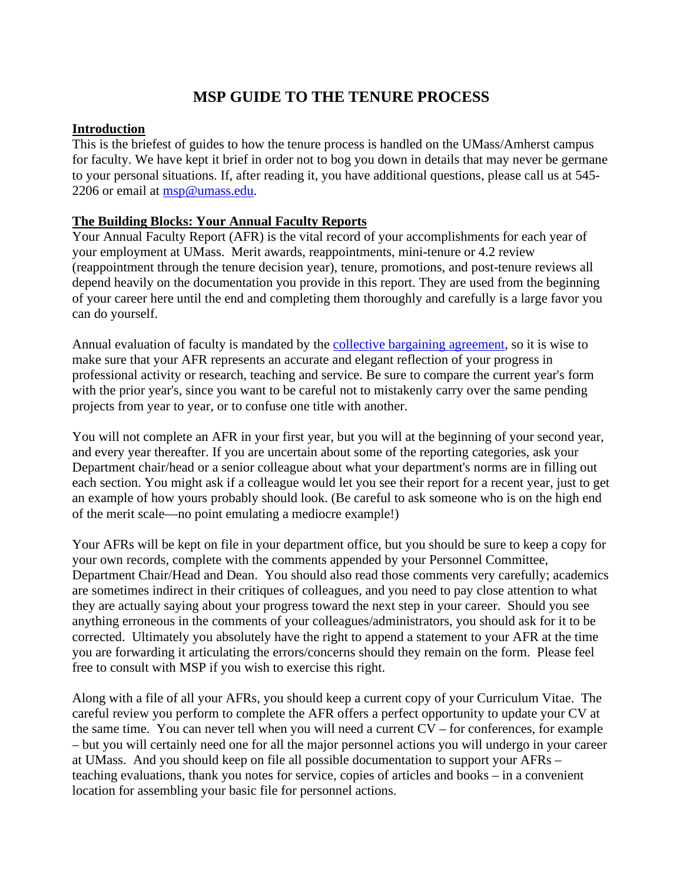# **MSP GUIDE TO THE TENURE PROCESS**

## **Introduction**

This is the briefest of guides to how the tenure process is handled on the UMass/Amherst campus for faculty. We have kept it brief in order not to bog you down in details that may never be germane to your personal situations. If, after reading it, you have additional questions, please call us at 545- 2206 or email at [msp@umass.edu.](mailto:msp@umass.edu)

# **The Building Blocks: Your Annual Faculty Reports**

Your Annual Faculty Report (AFR) is the vital record of your accomplishments for each year of your employment at UMass. Merit awards, reappointments, mini-tenure or 4.2 review (reappointment through the tenure decision year), tenure, promotions, and post-tenure reviews all depend heavily on the documentation you provide in this report. They are used from the beginning of your career here until the end and completing them thoroughly and carefully is a large favor you can do yourself.

Annual evaluation of faculty is mandated by the [collective bargaining agreement,](https://umassmsp.org/contract/) so it is wise to make sure that your AFR represents an accurate and elegant reflection of your progress in professional activity or research, teaching and service. Be sure to compare the current year's form with the prior year's, since you want to be careful not to mistakenly carry over the same pending projects from year to year, or to confuse one title with another.

You will not complete an AFR in your first year, but you will at the beginning of your second year, and every year thereafter. If you are uncertain about some of the reporting categories, ask your Department chair/head or a senior colleague about what your department's norms are in filling out each section. You might ask if a colleague would let you see their report for a recent year, just to get an example of how yours probably should look. (Be careful to ask someone who is on the high end of the merit scale—no point emulating a mediocre example!)

Your AFRs will be kept on file in your department office, but you should be sure to keep a copy for your own records, complete with the comments appended by your Personnel Committee, Department Chair/Head and Dean. You should also read those comments very carefully; academics are sometimes indirect in their critiques of colleagues, and you need to pay close attention to what they are actually saying about your progress toward the next step in your career. Should you see anything erroneous in the comments of your colleagues/administrators, you should ask for it to be corrected. Ultimately you absolutely have the right to append a statement to your AFR at the time you are forwarding it articulating the errors/concerns should they remain on the form. Please feel free to consult with MSP if you wish to exercise this right.

Along with a file of all your AFRs, you should keep a current copy of your Curriculum Vitae. The careful review you perform to complete the AFR offers a perfect opportunity to update your CV at the same time. You can never tell when you will need a current CV – for conferences, for example – but you will certainly need one for all the major personnel actions you will undergo in your career at UMass. And you should keep on file all possible documentation to support your AFRs – teaching evaluations, thank you notes for service, copies of articles and books – in a convenient location for assembling your basic file for personnel actions.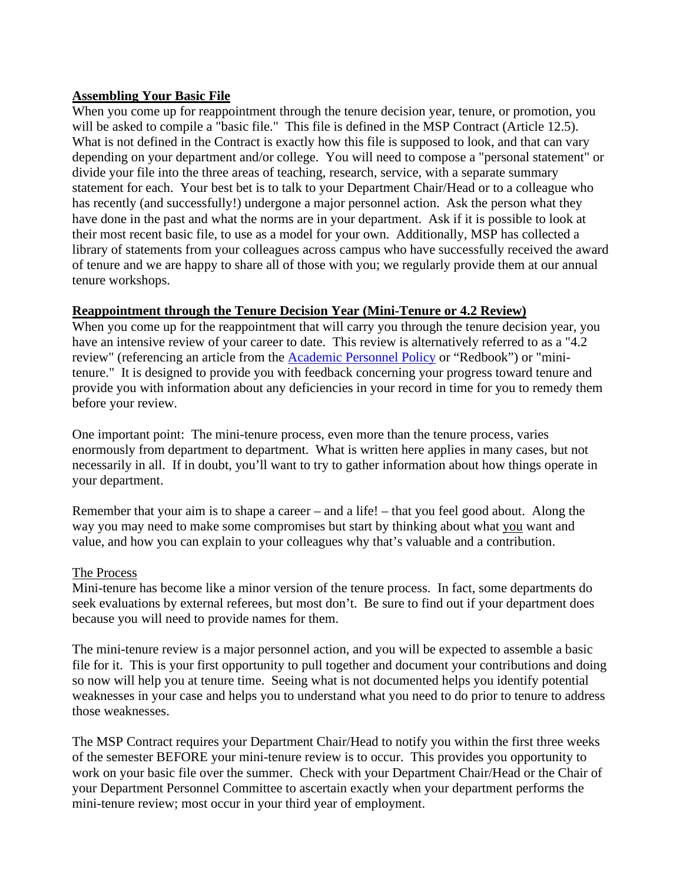# **Assembling Your Basic File**

When you come up for reappointment through the tenure decision year, tenure, or promotion, you will be asked to compile a "basic file." This file is defined in the MSP Contract (Article 12.5). What is not defined in the Contract is exactly how this file is supposed to look, and that can vary depending on your department and/or college. You will need to compose a "personal statement" or divide your file into the three areas of teaching, research, service, with a separate summary statement for each. Your best bet is to talk to your Department Chair/Head or to a colleague who has recently (and successfully!) undergone a major personnel action. Ask the person what they have done in the past and what the norms are in your department. Ask if it is possible to look at their most recent basic file, to use as a model for your own. Additionally, MSP has collected a library of statements from your colleagues across campus who have successfully received the award of tenure and we are happy to share all of those with you; we regularly provide them at our annual tenure workshops.

# **Reappointment through the Tenure Decision Year (Mini-Tenure or 4.2 Review)**

When you come up for the reappointment that will carry you through the tenure decision year, you have an intensive review of your career to date. This review is alternatively referred to as a "4.2" review" (referencing an article from the [Academic Personnel Policy](https://umassmsp.org/files/_Academic%20Personnel%20Policy,%20UMASS%20A,B_1.pdf) or "Redbook") or "minitenure." It is designed to provide you with feedback concerning your progress toward tenure and provide you with information about any deficiencies in your record in time for you to remedy them before your review.

One important point: The mini-tenure process, even more than the tenure process, varies enormously from department to department. What is written here applies in many cases, but not necessarily in all. If in doubt, you'll want to try to gather information about how things operate in your department.

Remember that your aim is to shape a career – and a life! – that you feel good about. Along the way you may need to make some compromises but start by thinking about what you want and value, and how you can explain to your colleagues why that's valuable and a contribution.

## The Process

Mini-tenure has become like a minor version of the tenure process. In fact, some departments do seek evaluations by external referees, but most don't. Be sure to find out if your department does because you will need to provide names for them.

The mini-tenure review is a major personnel action, and you will be expected to assemble a basic file for it. This is your first opportunity to pull together and document your contributions and doing so now will help you at tenure time. Seeing what is not documented helps you identify potential weaknesses in your case and helps you to understand what you need to do prior to tenure to address those weaknesses.

The MSP Contract requires your Department Chair/Head to notify you within the first three weeks of the semester BEFORE your mini-tenure review is to occur. This provides you opportunity to work on your basic file over the summer. Check with your Department Chair/Head or the Chair of your Department Personnel Committee to ascertain exactly when your department performs the mini-tenure review; most occur in your third year of employment.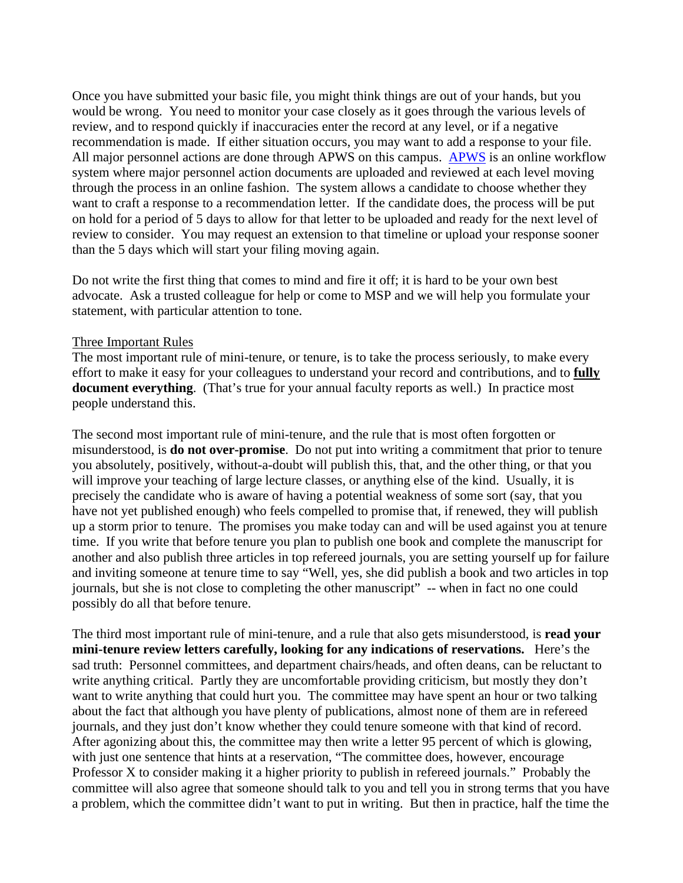Once you have submitted your basic file, you might think things are out of your hands, but you would be wrong. You need to monitor your case closely as it goes through the various levels of review, and to respond quickly if inaccuracies enter the record at any level, or if a negative recommendation is made. If either situation occurs, you may want to add a response to your file. All major personnel actions are done through [APWS](https://www.umass.edu/provost/resources/all-resources/academic-personnel/academic-personnel-workflow-system-apws) on this campus. APWS is an online workflow system where major personnel action documents are uploaded and reviewed at each level moving through the process in an online fashion. The system allows a candidate to choose whether they want to craft a response to a recommendation letter. If the candidate does, the process will be put on hold for a period of 5 days to allow for that letter to be uploaded and ready for the next level of review to consider. You may request an extension to that timeline or upload your response sooner than the 5 days which will start your filing moving again.

Do not write the first thing that comes to mind and fire it off; it is hard to be your own best advocate. Ask a trusted colleague for help or come to MSP and we will help you formulate your statement, with particular attention to tone.

#### Three Important Rules

The most important rule of mini-tenure, or tenure, is to take the process seriously, to make every effort to make it easy for your colleagues to understand your record and contributions, and to **fully document everything.** (That's true for your annual faculty reports as well.) In practice most people understand this.

The second most important rule of mini-tenure, and the rule that is most often forgotten or misunderstood, is **do not over-promise**. Do not put into writing a commitment that prior to tenure you absolutely, positively, without-a-doubt will publish this, that, and the other thing, or that you will improve your teaching of large lecture classes, or anything else of the kind. Usually, it is precisely the candidate who is aware of having a potential weakness of some sort (say, that you have not yet published enough) who feels compelled to promise that, if renewed, they will publish up a storm prior to tenure. The promises you make today can and will be used against you at tenure time. If you write that before tenure you plan to publish one book and complete the manuscript for another and also publish three articles in top refereed journals, you are setting yourself up for failure and inviting someone at tenure time to say "Well, yes, she did publish a book and two articles in top journals, but she is not close to completing the other manuscript" -- when in fact no one could possibly do all that before tenure.

The third most important rule of mini-tenure, and a rule that also gets misunderstood, is **read your mini-tenure review letters carefully, looking for any indications of reservations.** Here's the sad truth: Personnel committees, and department chairs/heads, and often deans, can be reluctant to write anything critical. Partly they are uncomfortable providing criticism, but mostly they don't want to write anything that could hurt you. The committee may have spent an hour or two talking about the fact that although you have plenty of publications, almost none of them are in refereed journals, and they just don't know whether they could tenure someone with that kind of record. After agonizing about this, the committee may then write a letter 95 percent of which is glowing, with just one sentence that hints at a reservation, "The committee does, however, encourage Professor X to consider making it a higher priority to publish in refereed journals." Probably the committee will also agree that someone should talk to you and tell you in strong terms that you have a problem, which the committee didn't want to put in writing. But then in practice, half the time the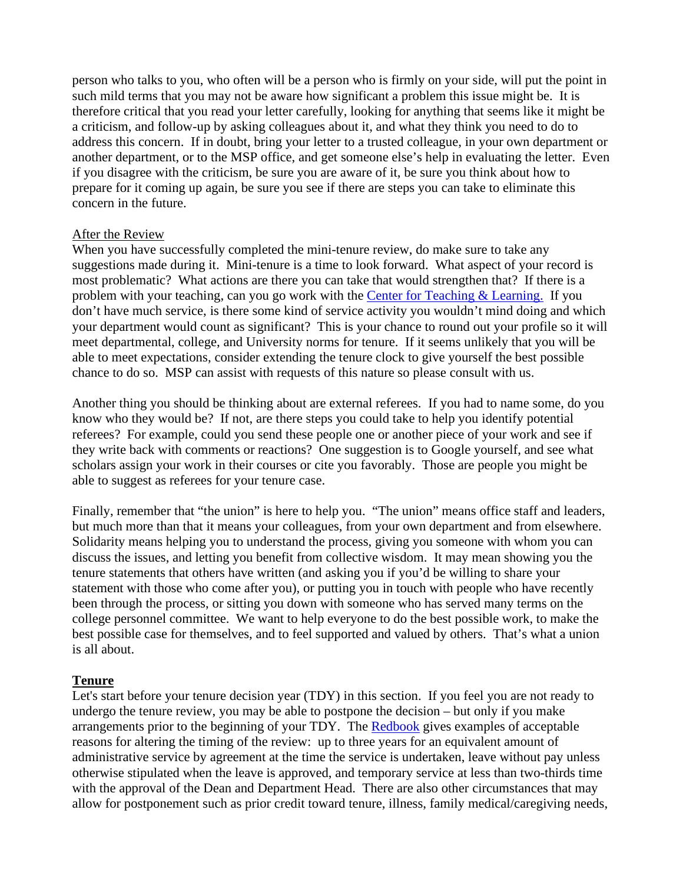person who talks to you, who often will be a person who is firmly on your side, will put the point in such mild terms that you may not be aware how significant a problem this issue might be. It is therefore critical that you read your letter carefully, looking for anything that seems like it might be a criticism, and follow-up by asking colleagues about it, and what they think you need to do to address this concern. If in doubt, bring your letter to a trusted colleague, in your own department or another department, or to the MSP office, and get someone else's help in evaluating the letter. Even if you disagree with the criticism, be sure you are aware of it, be sure you think about how to prepare for it coming up again, be sure you see if there are steps you can take to eliminate this concern in the future.

## After the Review

When you have successfully completed the mini-tenure review, do make sure to take any suggestions made during it. Mini-tenure is a time to look forward. What aspect of your record is most problematic? What actions are there you can take that would strengthen that? If there is a problem with your teaching, can you go work with the [Center for Teaching & Learning.](https://www.umass.edu/ctl/) If you don't have much service, is there some kind of service activity you wouldn't mind doing and which your department would count as significant? This is your chance to round out your profile so it will meet departmental, college, and University norms for tenure. If it seems unlikely that you will be able to meet expectations, consider extending the tenure clock to give yourself the best possible chance to do so. MSP can assist with requests of this nature so please consult with us.

Another thing you should be thinking about are external referees. If you had to name some, do you know who they would be? If not, are there steps you could take to help you identify potential referees? For example, could you send these people one or another piece of your work and see if they write back with comments or reactions? One suggestion is to Google yourself, and see what scholars assign your work in their courses or cite you favorably. Those are people you might be able to suggest as referees for your tenure case.

Finally, remember that "the union" is here to help you. "The union" means office staff and leaders, but much more than that it means your colleagues, from your own department and from elsewhere. Solidarity means helping you to understand the process, giving you someone with whom you can discuss the issues, and letting you benefit from collective wisdom. It may mean showing you the tenure statements that others have written (and asking you if you'd be willing to share your statement with those who come after you), or putting you in touch with people who have recently been through the process, or sitting you down with someone who has served many terms on the college personnel committee. We want to help everyone to do the best possible work, to make the best possible case for themselves, and to feel supported and valued by others. That's what a union is all about.

## **Tenure**

Let's start before your tenure decision year (TDY) in this section. If you feel you are not ready to undergo the tenure review, you may be able to postpone the decision – but only if you make arrangements prior to the beginning of your TDY. The [Redbook](https://umassmsp.org/files/_Academic%20Personnel%20Policy,%20UMASS%20A,B_1.pdf) gives examples of acceptable reasons for altering the timing of the review: up to three years for an equivalent amount of administrative service by agreement at the time the service is undertaken, leave without pay unless otherwise stipulated when the leave is approved, and temporary service at less than two-thirds time with the approval of the Dean and Department Head. There are also other circumstances that may allow for postponement such as prior credit toward tenure, illness, family medical/caregiving needs,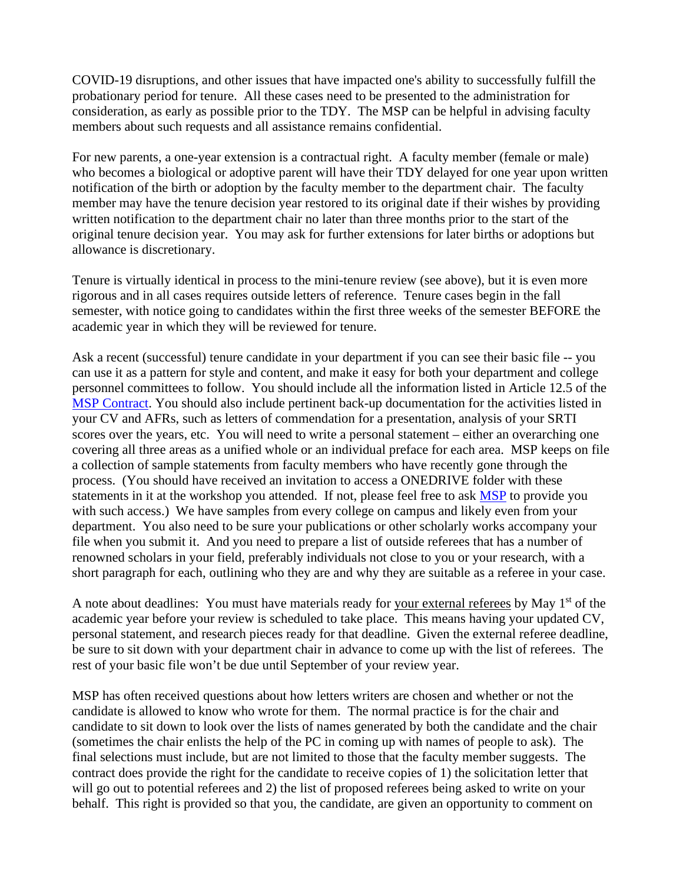COVID-19 disruptions, and other issues that have impacted one's ability to successfully fulfill the probationary period for tenure. All these cases need to be presented to the administration for consideration, as early as possible prior to the TDY. The MSP can be helpful in advising faculty members about such requests and all assistance remains confidential.

For new parents, a one-year extension is a contractual right. A faculty member (female or male) who becomes a biological or adoptive parent will have their TDY delayed for one year upon written notification of the birth or adoption by the faculty member to the department chair. The faculty member may have the tenure decision year restored to its original date if their wishes by providing written notification to the department chair no later than three months prior to the start of the original tenure decision year. You may ask for further extensions for later births or adoptions but allowance is discretionary.

Tenure is virtually identical in process to the mini-tenure review (see above), but it is even more rigorous and in all cases requires outside letters of reference. Tenure cases begin in the fall semester, with notice going to candidates within the first three weeks of the semester BEFORE the academic year in which they will be reviewed for tenure.

Ask a recent (successful) tenure candidate in your department if you can see their basic file -- you can use it as a pattern for style and content, and make it easy for both your department and college personnel committees to follow. You should include all the information listed in Article 12.5 of the [MSP Contract.](https://umassmsp.org/site/assets/files/1029/final_final_17-20_msp_collective_bargaining_agreement_10_05_2018.pdf) You should also include pertinent back-up documentation for the activities listed in your CV and AFRs, such as letters of commendation for a presentation, analysis of your SRTI scores over the years, etc. You will need to write a personal statement – either an overarching one covering all three areas as a unified whole or an individual preface for each area. MSP keeps on file a collection of sample statements from faculty members who have recently gone through the process. (You should have received an invitation to access a ONEDRIVE folder with these statements in it at the workshop you attended. If not, please feel free to ask **MSP** to provide you with such access.) We have samples from every college on campus and likely even from your department. You also need to be sure your publications or other scholarly works accompany your file when you submit it. And you need to prepare a list of outside referees that has a number of renowned scholars in your field, preferably individuals not close to you or your research, with a short paragraph for each, outlining who they are and why they are suitable as a referee in your case.

A note about deadlines: You must have materials ready for your external referees by May 1<sup>st</sup> of the academic year before your review is scheduled to take place. This means having your updated CV, personal statement, and research pieces ready for that deadline. Given the external referee deadline, be sure to sit down with your department chair in advance to come up with the list of referees. The rest of your basic file won't be due until September of your review year.

MSP has often received questions about how letters writers are chosen and whether or not the candidate is allowed to know who wrote for them. The normal practice is for the chair and candidate to sit down to look over the lists of names generated by both the candidate and the chair (sometimes the chair enlists the help of the PC in coming up with names of people to ask). The final selections must include, but are not limited to those that the faculty member suggests. The contract does provide the right for the candidate to receive copies of 1) the solicitation letter that will go out to potential referees and 2) the list of proposed referees being asked to write on your behalf. This right is provided so that you, the candidate, are given an opportunity to comment on